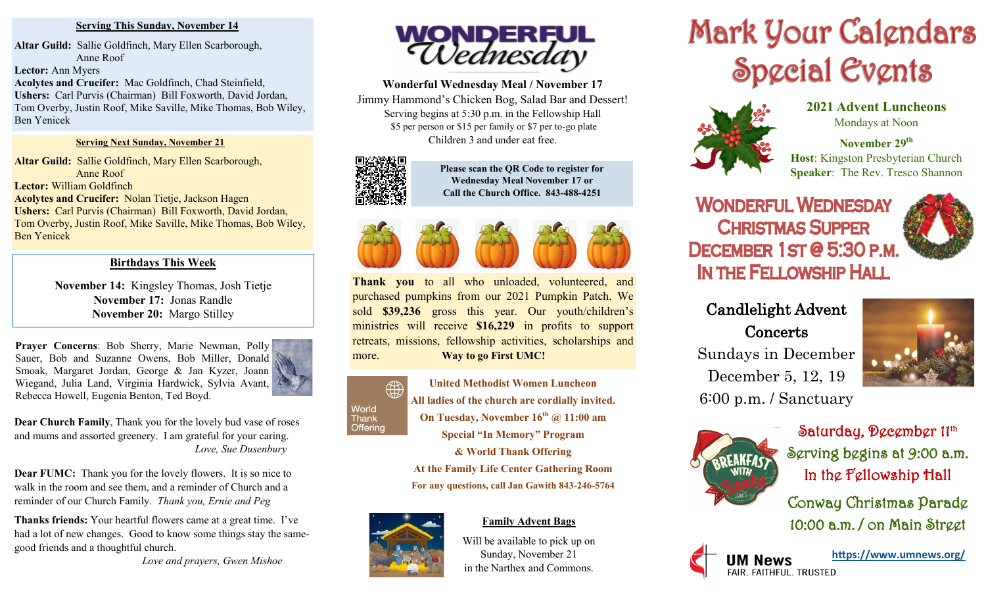### **Serving This Sunday, November 14**

**Altar Guild:** Sallie Goldfinch, Mary Ellen Scarborough, Anne Roof **Lector:** Ann Myers **Acolytes and Crucifer:** Mac Goldfinch, Chad Steinfield, **Ushers:** Carl Purvis (Chairman) Bill Foxworth, David Jordan, Tom Overby, Justin Roof, Mike Saville, Mike Thomas, Bob Wiley, Ben Yenicek

#### **Serving Next Sunday, November 21**

**Altar Guild:** Sallie Goldfinch, Mary Ellen Scarborough, Anne Roof **Lector:** William Goldfinch **Acolytes and Crucifer:** Nolan Tietje, Jackson Hagen **Ushers:** Carl Purvis (Chairman) Bill Foxworth, David Jordan, Tom Overby, Justin Roof, Mike Saville, Mike Thomas, Bob Wiley, Ben Yenicek

## **Birthdays This Week**

**November 14:** Kingsley Thomas, Josh Tietje **November 17:** Jonas Randle **November 20:** Margo Stilley

**Prayer Concerns**: Bob Sherry, Marie Newman, Polly Sauer, Bob and Suzanne Owens, Bob Miller, Donald Smoak, Margaret Jordan, George & Jan Kyzer, Joann Wiegand, Julia Land, Virginia Hardwick, Sylvia Avant, Rebecca Howell, Eugenia Benton, Ted Boyd.



**Dear Church Family**, Thank you for the lovely bud vase of roses and mums and assorted greenery. I am grateful for your caring. *Love, Sue Dusenbury*

**Dear FUMC:** Thank you for the lovely flowers. It is so nice to walk in the room and see them, and a reminder of Church and a reminder of our Church Family. *Thank you, Ernie and Peg*

**Thanks friends:** Your heartful flowers came at a great time. I've had a lot of new changes. Good to know some things stay the samegood friends and a thoughtful church.

*Love and prayers, Gwen Mishoe*



**Wonderful Wednesday Meal / November 17**  Jimmy Hammond's Chicken Bog, Salad Bar and Dessert! Serving begins at 5:30 p.m. in the Fellowship Hall \$5 per person or \$15 per family or \$7 per to-go plate Children 3 and under eat free.



**Please scan the QR Code to register for Wednesday Meal November 17 or Call the Church Office. 843-488-4251**



**Thank you** to all who unloaded, volunteered, and purchased pumpkins from our 2021 Pumpkin Patch. We sold **\$39,236** gross this year. Our youth/children's ministries will receive **\$16,229** in profits to support retreats, missions, fellowship activities, scholarships and more. **Way to go First UMC!**



**United Methodist Women Luncheon All ladies of the church are cordially invited. On Tuesday, November 16th @ 11:00 am Special "In Memory" Program & World Thank Offering**

**At the Family Life Center Gathering Room For any questions, call Jan Gawith 843-246-5764**



# **Family Advent Bags**

Will be available to pick up on Sunday, November 21 in the Narthex and Commons.

# Mark Your Calgndars Special Events



**2021 Advent Luncheons** Mondays at Noon

**November 29th Host**: Kingston Presbyterian Church **Speaker**: The Rev. Tresco Shannon

# **WONDERFUL WEDNESDAY CHRISTMAS SUPPER** DECEMBER 1ST@5:30 P.M. IN THE FELLOWSHIP HALL



# Candlelight Advent **Concerts** Sundays in December

December 5, 12, 19

6:00 p.m. / Sanctuary

Saturday, December 11th Serving begins at 9:00 a.m. In the Fellowship Hall Conway Christmas Parade

10:00 a.m. / on Main Street



**<https://www.umnews.org/>**